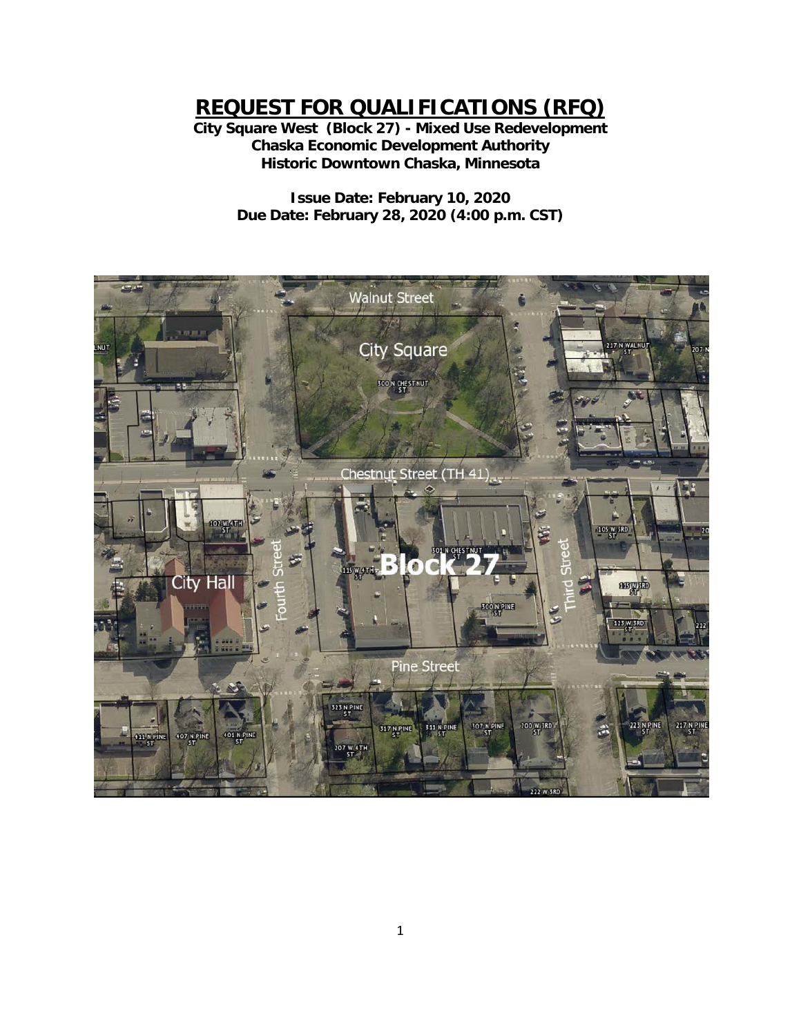**REQUEST FOR QUALIFICATIONS (RFQ)**

**City Square West (Block 27) - Mixed Use Redevelopment Chaska Economic Development Authority Historic Downtown Chaska, Minnesota**

> **Issue Date: February 10, 2020 Due Date: February 28, 2020 (4:00 p.m. CST)**

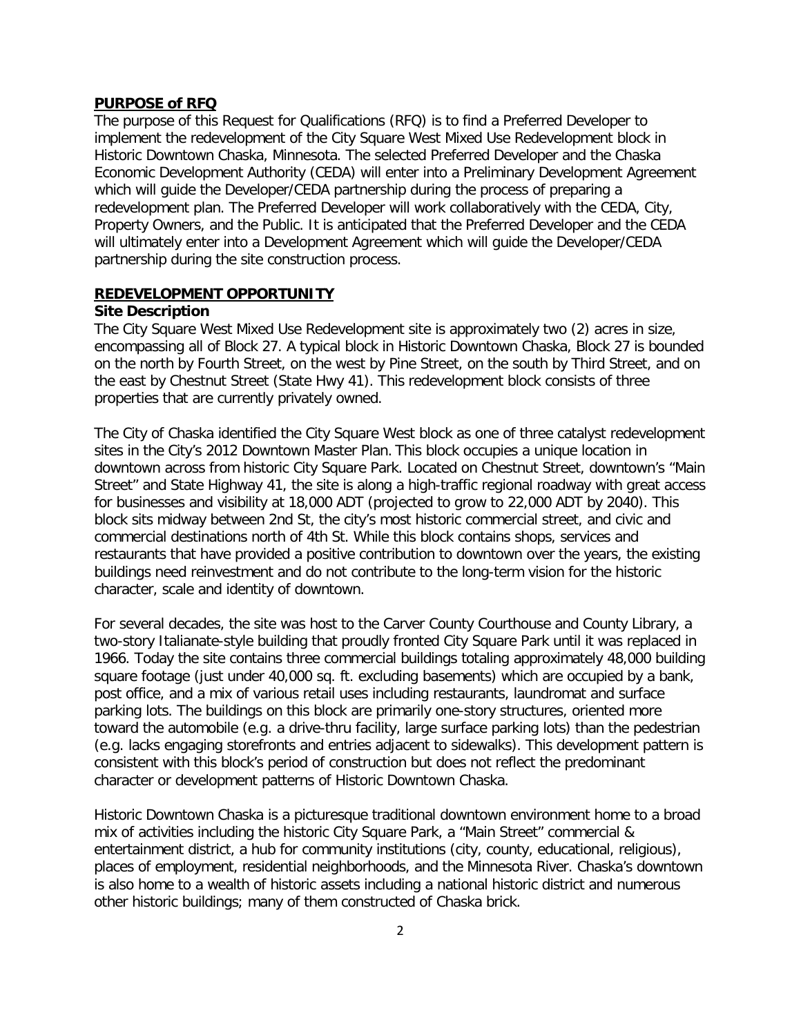#### **PURPOSE of RFQ**

The purpose of this Request for Qualifications (RFQ) is to find a Preferred Developer to implement the redevelopment of the City Square West Mixed Use Redevelopment block in Historic Downtown Chaska, Minnesota. The selected Preferred Developer and the Chaska Economic Development Authority (CEDA) will enter into a Preliminary Development Agreement which will guide the Developer/CEDA partnership during the process of preparing a redevelopment plan. The Preferred Developer will work collaboratively with the CEDA, City, Property Owners, and the Public. It is anticipated that the Preferred Developer and the CEDA will ultimately enter into a Development Agreement which will guide the Developer/CEDA partnership during the site construction process.

#### **REDEVELOPMENT OPPORTUNITY**

#### **Site Description**

The City Square West Mixed Use Redevelopment site is approximately two (2) acres in size, encompassing all of Block 27. A typical block in Historic Downtown Chaska, Block 27 is bounded on the north by Fourth Street, on the west by Pine Street, on the south by Third Street, and on the east by Chestnut Street (State Hwy 41). This redevelopment block consists of three properties that are currently privately owned.

The City of Chaska identified the City Square West block as one of three catalyst redevelopment sites in the City's 2012 Downtown Master Plan. This block occupies a unique location in downtown across from historic City Square Park. Located on Chestnut Street, downtown's "Main Street" and State Highway 41, the site is along a high-traffic regional roadway with great access for businesses and visibility at 18,000 ADT (projected to grow to 22,000 ADT by 2040). This block sits midway between 2nd St, the city's most historic commercial street, and civic and commercial destinations north of 4th St. While this block contains shops, services and restaurants that have provided a positive contribution to downtown over the years, the existing buildings need reinvestment and do not contribute to the long-term vision for the historic character, scale and identity of downtown.

For several decades, the site was host to the Carver County Courthouse and County Library, a two-story Italianate-style building that proudly fronted City Square Park until it was replaced in 1966. Today the site contains three commercial buildings totaling approximately 48,000 building square footage (just under 40,000 sq. ft. excluding basements) which are occupied by a bank, post office, and a mix of various retail uses including restaurants, laundromat and surface parking lots. The buildings on this block are primarily one-story structures, oriented more toward the automobile (e.g. a drive-thru facility, large surface parking lots) than the pedestrian (e.g. lacks engaging storefronts and entries adjacent to sidewalks). This development pattern is consistent with this block's period of construction but does not reflect the predominant character or development patterns of Historic Downtown Chaska.

Historic Downtown Chaska is a picturesque traditional downtown environment home to a broad mix of activities including the historic City Square Park, a "Main Street" commercial & entertainment district, a hub for community institutions (city, county, educational, religious), places of employment, residential neighborhoods, and the Minnesota River. Chaska's downtown is also home to a wealth of historic assets including a national historic district and numerous other historic buildings; many of them constructed of Chaska brick.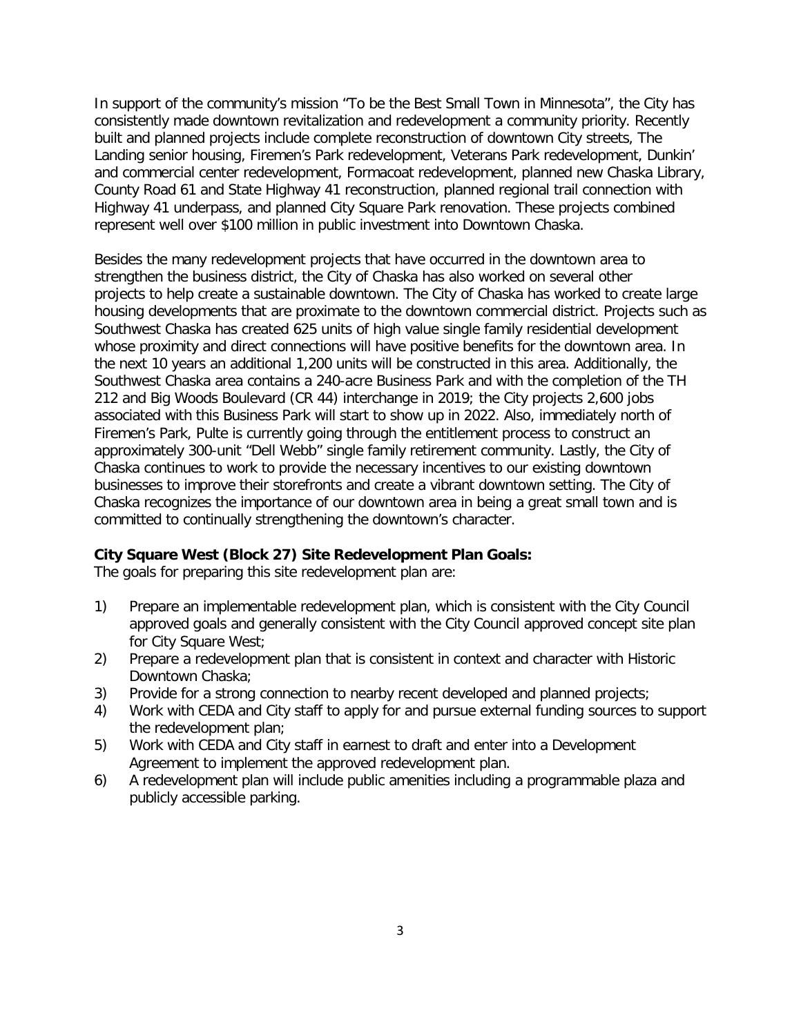In support of the community's mission "To be the Best Small Town in Minnesota", the City has consistently made downtown revitalization and redevelopment a community priority. Recently built and planned projects include complete reconstruction of downtown City streets, The Landing senior housing, Firemen's Park redevelopment, Veterans Park redevelopment, Dunkin' and commercial center redevelopment, Formacoat redevelopment, planned new Chaska Library, County Road 61 and State Highway 41 reconstruction, planned regional trail connection with Highway 41 underpass, and planned City Square Park renovation. These projects combined represent well over \$100 million in public investment into Downtown Chaska.

Besides the many redevelopment projects that have occurred in the downtown area to strengthen the business district, the City of Chaska has also worked on several other projects to help create a sustainable downtown. The City of Chaska has worked to create large housing developments that are proximate to the downtown commercial district. Projects such as Southwest Chaska has created 625 units of high value single family residential development whose proximity and direct connections will have positive benefits for the downtown area. In the next 10 years an additional 1,200 units will be constructed in this area. Additionally, the Southwest Chaska area contains a 240-acre Business Park and with the completion of the TH 212 and Big Woods Boulevard (CR 44) interchange in 2019; the City projects 2,600 jobs associated with this Business Park will start to show up in 2022. Also, immediately north of Firemen's Park, Pulte is currently going through the entitlement process to construct an approximately 300-unit "Dell Webb" single family retirement community. Lastly, the City of Chaska continues to work to provide the necessary incentives to our existing downtown businesses to improve their storefronts and create a vibrant downtown setting. The City of Chaska recognizes the importance of our downtown area in being a great small town and is committed to continually strengthening the downtown's character.

#### **City Square West (Block 27) Site Redevelopment Plan Goals:**

The goals for preparing this site redevelopment plan are:

- 1) Prepare an implementable redevelopment plan, which is consistent with the City Council approved goals and generally consistent with the City Council approved concept site plan for City Square West;
- 2) Prepare a redevelopment plan that is consistent in context and character with Historic Downtown Chaska;
- 3) Provide for a strong connection to nearby recent developed and planned projects;
- 4) Work with CEDA and City staff to apply for and pursue external funding sources to support the redevelopment plan;
- 5) Work with CEDA and City staff in earnest to draft and enter into a Development Agreement to implement the approved redevelopment plan.
- 6) A redevelopment plan will include public amenities including a programmable plaza and publicly accessible parking.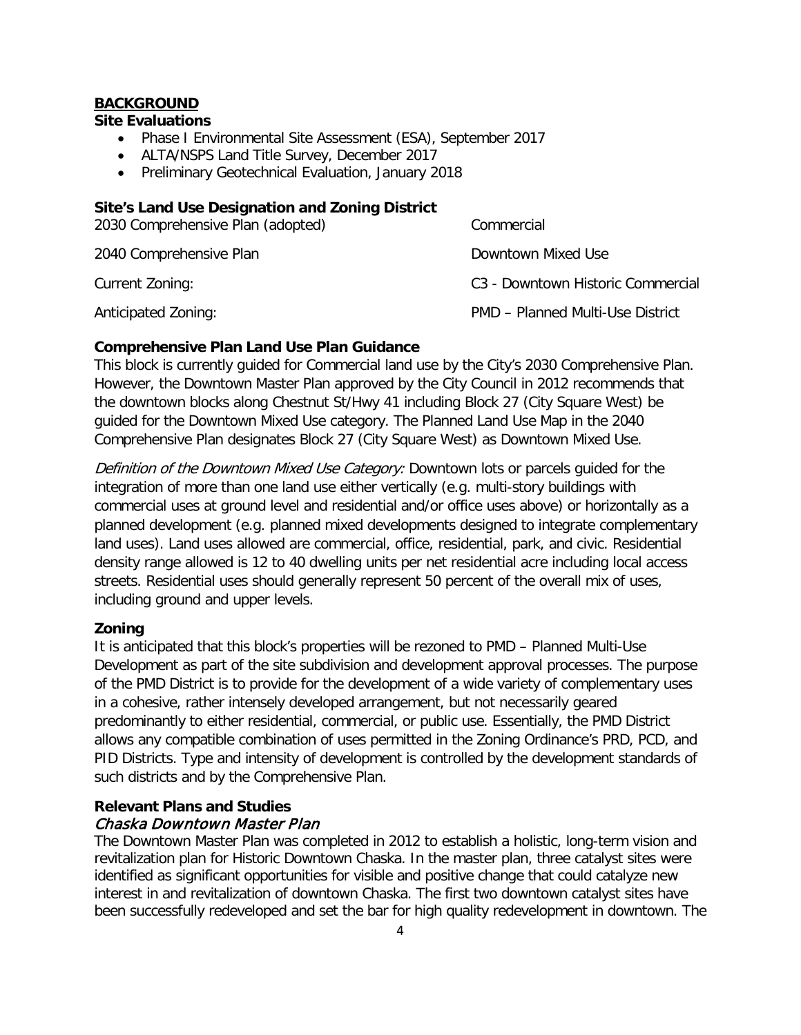## **BACKGROUND**

#### **Site Evaluations**

- Phase I Environmental Site Assessment (ESA), September 2017
- ALTA/NSPS Land Title Survey, December 2017
- Preliminary Geotechnical Evaluation, January 2018

## **Site's Land Use Designation and Zoning District**

| 2030 Comprehensive Plan (adopted) | Commercial                                    |
|-----------------------------------|-----------------------------------------------|
| 2040 Comprehensive Plan           | Downtown Mixed Use                            |
| Current Zoning:                   | C <sub>3</sub> - Downtown Historic Commercial |
| Anticipated Zoning:               | <b>PMD - Planned Multi-Use District</b>       |

## **Comprehensive Plan Land Use Plan Guidance**

This block is currently guided for Commercial land use by the City's 2030 Comprehensive Plan. However, the Downtown Master Plan approved by the City Council in 2012 recommends that the downtown blocks along Chestnut St/Hwy 41 including Block 27 (City Square West) be guided for the Downtown Mixed Use category. The Planned Land Use Map in the 2040 Comprehensive Plan designates Block 27 (City Square West) as Downtown Mixed Use.

Definition of the Downtown Mixed Use Category: Downtown lots or parcels quided for the integration of more than one land use either vertically (e.g. multi-story buildings with commercial uses at ground level and residential and/or office uses above) or horizontally as a planned development (e.g. planned mixed developments designed to integrate complementary land uses). Land uses allowed are commercial, office, residential, park, and civic. Residential density range allowed is 12 to 40 dwelling units per net residential acre including local access streets. Residential uses should generally represent 50 percent of the overall mix of uses, including ground and upper levels.

#### **Zoning**

It is anticipated that this block's properties will be rezoned to PMD – Planned Multi-Use Development as part of the site subdivision and development approval processes. The purpose of the PMD District is to provide for the development of a wide variety of complementary uses in a cohesive, rather intensely developed arrangement, but not necessarily geared predominantly to either residential, commercial, or public use. Essentially, the PMD District allows any compatible combination of uses permitted in the Zoning Ordinance's PRD, PCD, and PID Districts. Type and intensity of development is controlled by the development standards of such districts and by the Comprehensive Plan.

## **Relevant Plans and Studies** Chaska Downtown Master Plan

The Downtown Master Plan was completed in 2012 to establish a holistic, long-term vision and revitalization plan for Historic Downtown Chaska. In the master plan, three catalyst sites were identified as significant opportunities for visible and positive change that could catalyze new interest in and revitalization of downtown Chaska. The first two downtown catalyst sites have been successfully redeveloped and set the bar for high quality redevelopment in downtown. The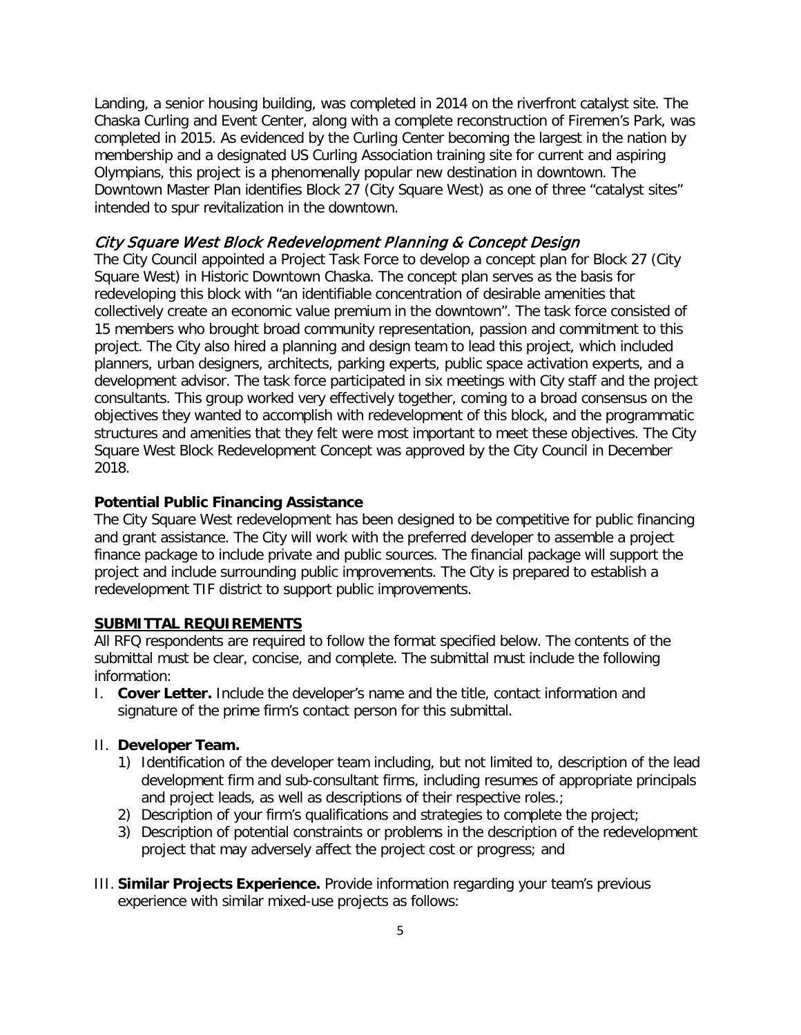Landing, a senior housing building, was completed in 2014 on the riverfront catalyst site. The Chaska Curling and Event Center, along with a complete reconstruction of Firemen's Park, was completed in 2015. As evidenced by the Curling Center becoming the largest in the nation by membership and a designated US Curling Association training site for current and aspiring Olympians, this project is a phenomenally popular new destination in downtown. The Downtown Master Plan identifies Block 27 (City Square West) as one of three "catalyst sites" intended to spur revitalization in the downtown.

#### City Square West Block Redevelopment Planning & Concept Design

The City Council appointed a Project Task Force to develop a concept plan for Block 27 (City Square West) in Historic Downtown Chaska. The concept plan serves as the basis for redeveloping this block with "an identifiable concentration of desirable amenities that collectively create an economic value premium in the downtown". The task force consisted of 15 members who brought broad community representation, passion and commitment to this project. The City also hired a planning and design team to lead this project, which included planners, urban designers, architects, parking experts, public space activation experts, and a development advisor. The task force participated in six meetings with City staff and the project consultants. This group worked very effectively together, coming to a broad consensus on the objectives they wanted to accomplish with redevelopment of this block, and the programmatic structures and amenities that they felt were most important to meet these objectives. The City Square West Block Redevelopment Concept was approved by the City Council in December 2018.

#### **Potential Public Financing Assistance**

The City Square West redevelopment has been designed to be competitive for public financing and grant assistance. The City will work with the preferred developer to assemble a project finance package to include private and public sources. The financial package will support the project and include surrounding public improvements. The City is prepared to establish a redevelopment TIF district to support public improvements.

#### **SUBMITTAL REQUIREMENTS**

All RFQ respondents are required to follow the format specified below. The contents of the submittal must be clear, concise, and complete. The submittal must include the following information:

I. **Cover Letter.** Include the developer's name and the title, contact information and signature of the prime firm's contact person for this submittal.

#### II. **Developer Team.**

- 1) Identification of the developer team including, but not limited to, description of the lead development firm and sub-consultant firms, including resumes of appropriate principals and project leads, as well as descriptions of their respective roles.;
- 2) Description of your firm's qualifications and strategies to complete the project;
- 3) Description of potential constraints or problems in the description of the redevelopment project that may adversely affect the project cost or progress; and
- III. **Similar Projects Experience.** Provide information regarding your team's previous experience with similar mixed-use projects as follows: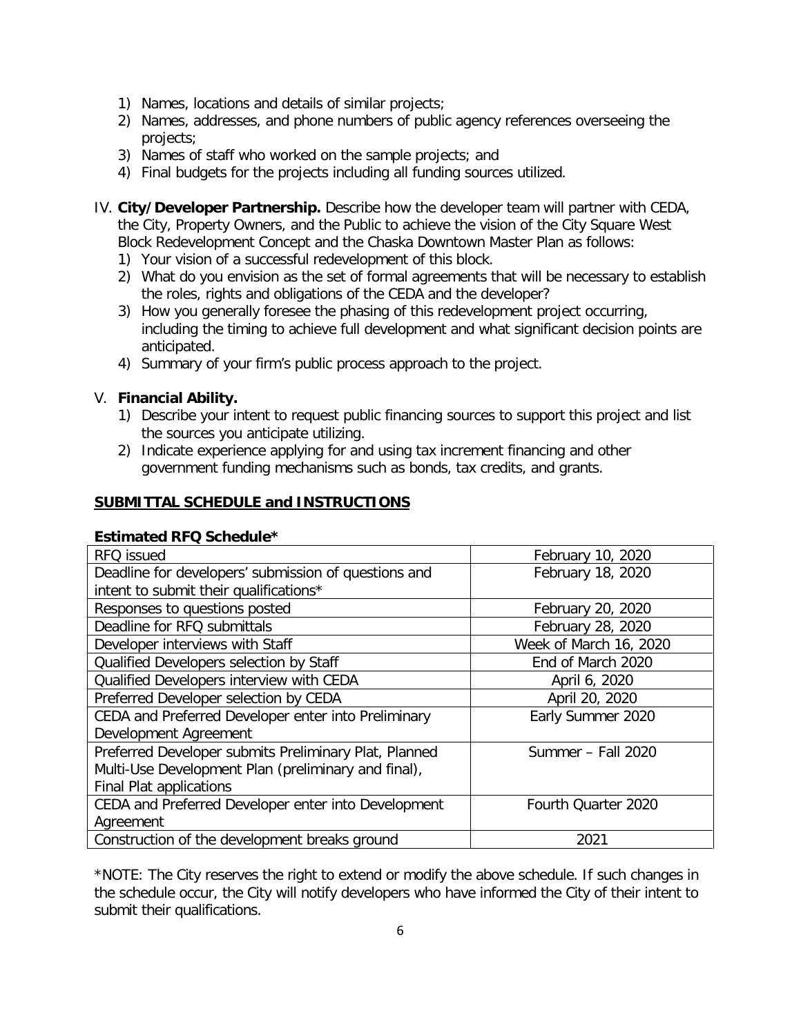- 1) Names, locations and details of similar projects;
- 2) Names, addresses, and phone numbers of public agency references overseeing the projects;
- 3) Names of staff who worked on the sample projects; and
- 4) Final budgets for the projects including all funding sources utilized.
- IV. **City/Developer Partnership.** Describe how the developer team will partner with CEDA, the City, Property Owners, and the Public to achieve the vision of the City Square West Block Redevelopment Concept and the Chaska Downtown Master Plan as follows:
	- 1) Your vision of a successful redevelopment of this block.
	- 2) What do you envision as the set of formal agreements that will be necessary to establish the roles, rights and obligations of the CEDA and the developer?
	- 3) How you generally foresee the phasing of this redevelopment project occurring, including the timing to achieve full development and what significant decision points are anticipated.
	- 4) Summary of your firm's public process approach to the project.

## V. **Financial Ability.**

- 1) Describe your intent to request public financing sources to support this project and list the sources you anticipate utilizing.
- 2) Indicate experience applying for and using tax increment financing and other government funding mechanisms such as bonds, tax credits, and grants.

## **SUBMITTAL SCHEDULE and INSTRUCTIONS**

#### **Estimated RFQ Schedule\***

| RFQ issued                                            | February 10, 2020      |
|-------------------------------------------------------|------------------------|
| Deadline for developers' submission of questions and  | February 18, 2020      |
| intent to submit their qualifications*                |                        |
| Responses to questions posted                         | February 20, 2020      |
| Deadline for RFQ submittals                           | February 28, 2020      |
| Developer interviews with Staff                       | Week of March 16, 2020 |
| Qualified Developers selection by Staff               | End of March 2020      |
| Qualified Developers interview with CEDA              | April 6, 2020          |
| Preferred Developer selection by CEDA                 | April 20, 2020         |
| CEDA and Preferred Developer enter into Preliminary   | Early Summer 2020      |
| Development Agreement                                 |                        |
| Preferred Developer submits Preliminary Plat, Planned | Summer - Fall 2020     |
| Multi-Use Development Plan (preliminary and final),   |                        |
| Final Plat applications                               |                        |
| CEDA and Preferred Developer enter into Development   | Fourth Quarter 2020    |
| Agreement                                             |                        |
| Construction of the development breaks ground         | 2021                   |

\*NOTE: The City reserves the right to extend or modify the above schedule. If such changes in the schedule occur, the City will notify developers who have informed the City of their intent to submit their qualifications.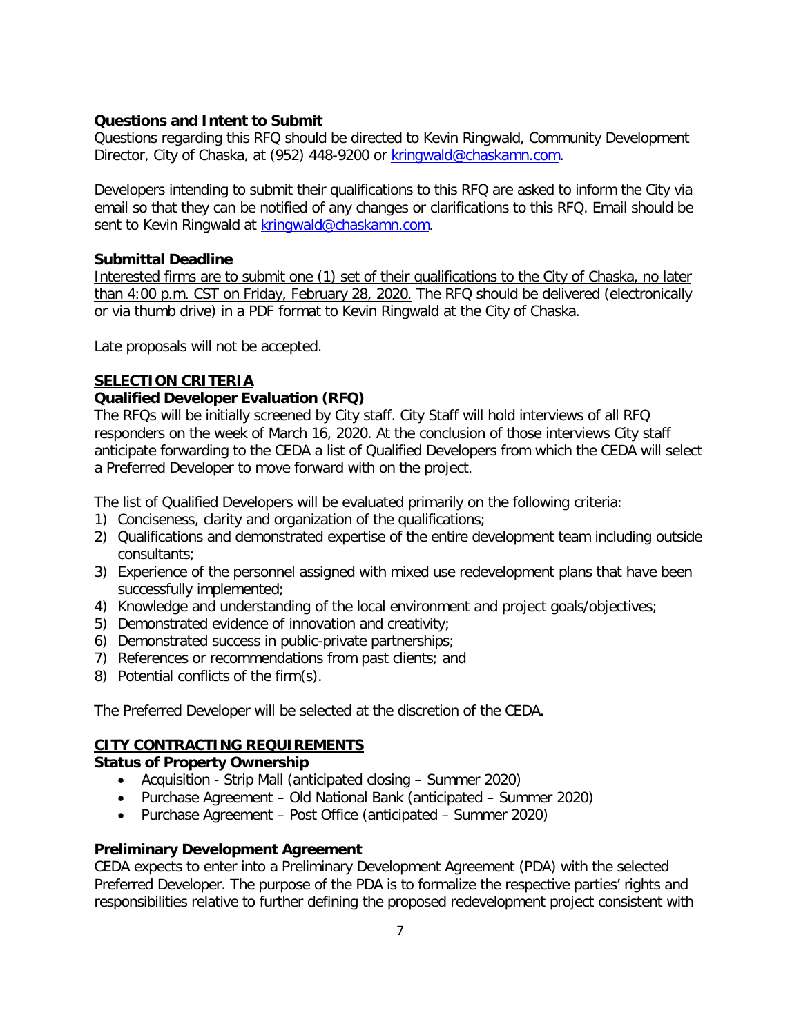## **Questions and Intent to Submit**

Questions regarding this RFQ should be directed to Kevin Ringwald, Community Development Director, City of Chaska, at (952) 448-9200 or [kringwald@chaskamn.com.](mailto:kringwald@chaskamn.com)

Developers intending to submit their qualifications to this RFQ are asked to inform the City via email so that they can be notified of any changes or clarifications to this RFQ. Email should be sent to Kevin Ringwald at [kringwald@chaskamn.com.](mailto:kringwald@chaskamn.com)

#### **Submittal Deadline**

Interested firms are to submit one (1) set of their qualifications to the City of Chaska, no later than 4:00 p.m. CST on Friday, February 28, 2020. The RFQ should be delivered (electronically or via thumb drive) in a PDF format to Kevin Ringwald at the City of Chaska.

Late proposals will not be accepted.

## **SELECTION CRITERIA**

## **Qualified Developer Evaluation (RFQ)**

The RFQs will be initially screened by City staff. City Staff will hold interviews of all RFQ responders on the week of March 16, 2020. At the conclusion of those interviews City staff anticipate forwarding to the CEDA a list of Qualified Developers from which the CEDA will select a Preferred Developer to move forward with on the project.

The list of Qualified Developers will be evaluated primarily on the following criteria:

- 1) Conciseness, clarity and organization of the qualifications;
- 2) Qualifications and demonstrated expertise of the entire development team including outside consultants;
- 3) Experience of the personnel assigned with mixed use redevelopment plans that have been successfully implemented;
- 4) Knowledge and understanding of the local environment and project goals/objectives;
- 5) Demonstrated evidence of innovation and creativity;
- 6) Demonstrated success in public-private partnerships;
- 7) References or recommendations from past clients; and
- 8) Potential conflicts of the firm(s).

The Preferred Developer will be selected at the discretion of the CEDA.

## **CITY CONTRACTING REQUIREMENTS**

#### **Status of Property Ownership**

- Acquisition Strip Mall (anticipated closing Summer 2020)
- Purchase Agreement Old National Bank (anticipated Summer 2020)
- Purchase Agreement Post Office (anticipated Summer 2020)

## **Preliminary Development Agreement**

CEDA expects to enter into a Preliminary Development Agreement (PDA) with the selected Preferred Developer. The purpose of the PDA is to formalize the respective parties' rights and responsibilities relative to further defining the proposed redevelopment project consistent with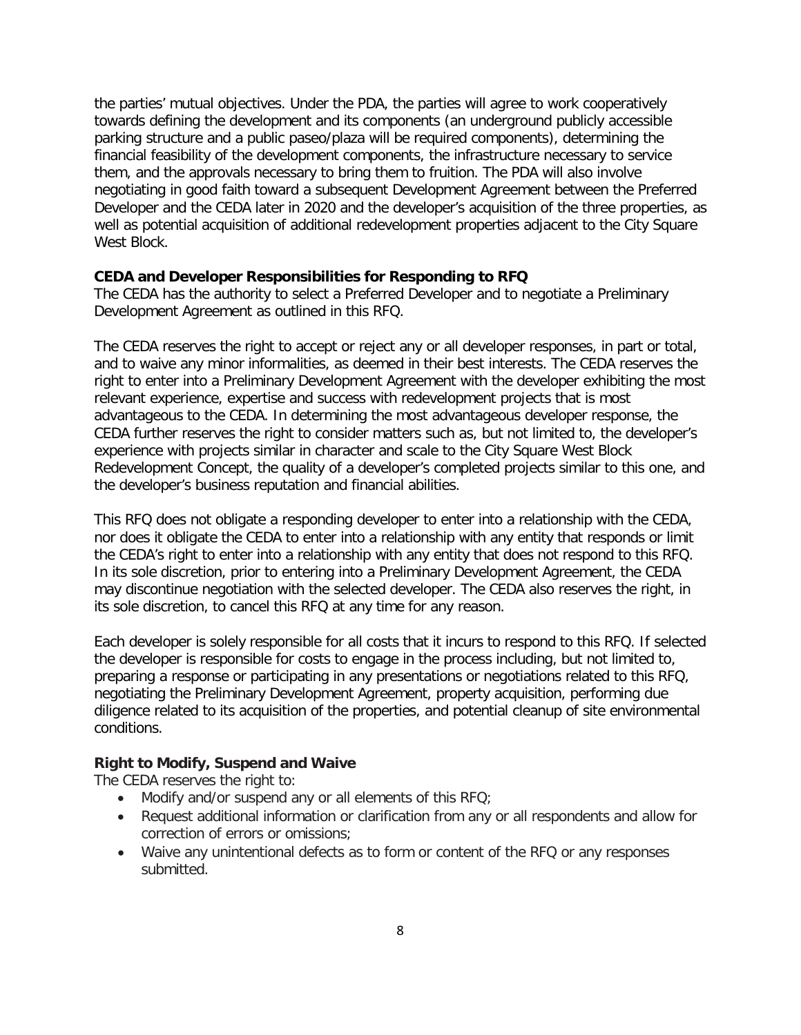the parties' mutual objectives. Under the PDA, the parties will agree to work cooperatively towards defining the development and its components (an underground publicly accessible parking structure and a public paseo/plaza will be required components), determining the financial feasibility of the development components, the infrastructure necessary to service them, and the approvals necessary to bring them to fruition. The PDA will also involve negotiating in good faith toward a subsequent Development Agreement between the Preferred Developer and the CEDA later in 2020 and the developer's acquisition of the three properties, as well as potential acquisition of additional redevelopment properties adjacent to the City Square West Block

#### **CEDA and Developer Responsibilities for Responding to RFQ**

The CEDA has the authority to select a Preferred Developer and to negotiate a Preliminary Development Agreement as outlined in this RFQ.

The CEDA reserves the right to accept or reject any or all developer responses, in part or total, and to waive any minor informalities, as deemed in their best interests. The CEDA reserves the right to enter into a Preliminary Development Agreement with the developer exhibiting the most relevant experience, expertise and success with redevelopment projects that is most advantageous to the CEDA. In determining the most advantageous developer response, the CEDA further reserves the right to consider matters such as, but not limited to, the developer's experience with projects similar in character and scale to the City Square West Block Redevelopment Concept, the quality of a developer's completed projects similar to this one, and the developer's business reputation and financial abilities.

This RFQ does not obligate a responding developer to enter into a relationship with the CEDA, nor does it obligate the CEDA to enter into a relationship with any entity that responds or limit the CEDA's right to enter into a relationship with any entity that does not respond to this RFQ. In its sole discretion, prior to entering into a Preliminary Development Agreement, the CEDA may discontinue negotiation with the selected developer. The CEDA also reserves the right, in its sole discretion, to cancel this RFQ at any time for any reason.

Each developer is solely responsible for all costs that it incurs to respond to this RFQ. If selected the developer is responsible for costs to engage in the process including, but not limited to, preparing a response or participating in any presentations or negotiations related to this RFQ, negotiating the Preliminary Development Agreement, property acquisition, performing due diligence related to its acquisition of the properties, and potential cleanup of site environmental conditions.

## **Right to Modify, Suspend and Waive**

The CEDA reserves the right to:

- Modify and/or suspend any or all elements of this RFQ;
- Request additional information or clarification from any or all respondents and allow for correction of errors or omissions;
- Waive any unintentional defects as to form or content of the RFQ or any responses submitted.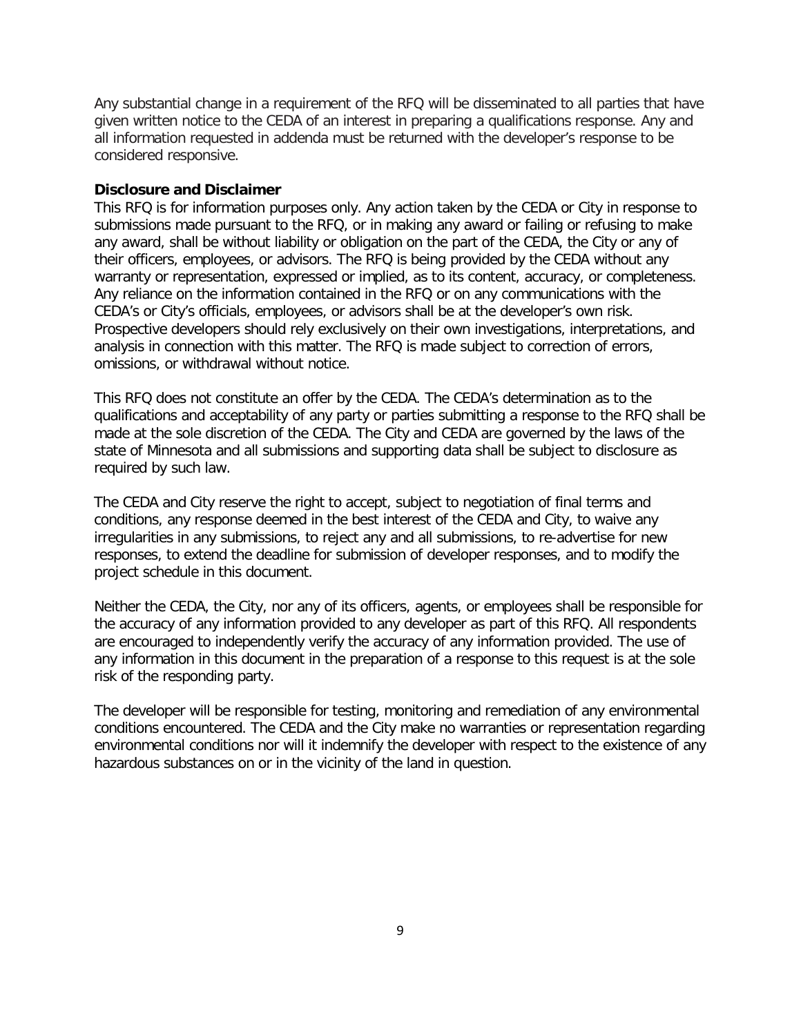Any substantial change in a requirement of the RFQ will be disseminated to all parties that have given written notice to the CEDA of an interest in preparing a qualifications response. Any and all information requested in addenda must be returned with the developer's response to be considered responsive.

#### **Disclosure and Disclaimer**

This RFQ is for information purposes only. Any action taken by the CEDA or City in response to submissions made pursuant to the RFQ, or in making any award or failing or refusing to make any award, shall be without liability or obligation on the part of the CEDA, the City or any of their officers, employees, or advisors. The RFQ is being provided by the CEDA without any warranty or representation, expressed or implied, as to its content, accuracy, or completeness. Any reliance on the information contained in the RFQ or on any communications with the CEDA's or City's officials, employees, or advisors shall be at the developer's own risk. Prospective developers should rely exclusively on their own investigations, interpretations, and analysis in connection with this matter. The RFQ is made subject to correction of errors, omissions, or withdrawal without notice.

This RFQ does not constitute an offer by the CEDA. The CEDA's determination as to the qualifications and acceptability of any party or parties submitting a response to the RFQ shall be made at the sole discretion of the CEDA. The City and CEDA are governed by the laws of the state of Minnesota and all submissions and supporting data shall be subject to disclosure as required by such law.

The CEDA and City reserve the right to accept, subject to negotiation of final terms and conditions, any response deemed in the best interest of the CEDA and City, to waive any irregularities in any submissions, to reject any and all submissions, to re-advertise for new responses, to extend the deadline for submission of developer responses, and to modify the project schedule in this document.

Neither the CEDA, the City, nor any of its officers, agents, or employees shall be responsible for the accuracy of any information provided to any developer as part of this RFQ. All respondents are encouraged to independently verify the accuracy of any information provided. The use of any information in this document in the preparation of a response to this request is at the sole risk of the responding party.

The developer will be responsible for testing, monitoring and remediation of any environmental conditions encountered. The CEDA and the City make no warranties or representation regarding environmental conditions nor will it indemnify the developer with respect to the existence of any hazardous substances on or in the vicinity of the land in question.